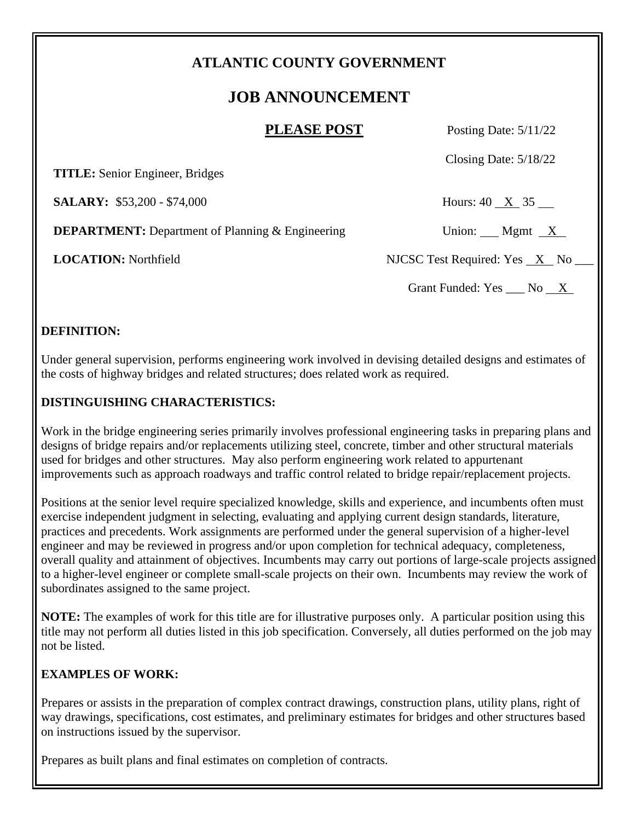## **ATLANTIC COUNTY GOVERNMENT**

# **JOB ANNOUNCEMENT**

**PLEASE POST** Posting Date: 5/11/22

Closing Date: 5/18/22

 **TITLE:** Senior Engineer, Bridges

**SALARY:** \$53,200 - \$74,000 Hours: 40 X 35

**DEPARTMENT:** Department of Planning & Engineering Union: Mgmt X

**LOCATION:** Northfield NJCSC Test Required: Yes X No

Grant Funded:  $Yes \_\_\_No \_\_X$ 

#### **DEFINITION:**

Under general supervision, performs engineering work involved in devising detailed designs and estimates of the costs of highway bridges and related structures; does related work as required.

## **DISTINGUISHING CHARACTERISTICS:**

Work in the bridge engineering series primarily involves professional engineering tasks in preparing plans and designs of bridge repairs and/or replacements utilizing steel, concrete, timber and other structural materials used for bridges and other structures. May also perform engineering work related to appurtenant improvements such as approach roadways and traffic control related to bridge repair/replacement projects.

Positions at the senior level require specialized knowledge, skills and experience, and incumbents often must exercise independent judgment in selecting, evaluating and applying current design standards, literature, practices and precedents. Work assignments are performed under the general supervision of a higher-level engineer and may be reviewed in progress and/or upon completion for technical adequacy, completeness, overall quality and attainment of objectives. Incumbents may carry out portions of large-scale projects assigned to a higher-level engineer or complete small-scale projects on their own. Incumbents may review the work of subordinates assigned to the same project.

**NOTE:** The examples of work for this title are for illustrative purposes only. A particular position using this title may not perform all duties listed in this job specification. Conversely, all duties performed on the job may not be listed.

## **EXAMPLES OF WORK:**

Prepares or assists in the preparation of complex contract drawings, construction plans, utility plans, right of way drawings, specifications, cost estimates, and preliminary estimates for bridges and other structures based on instructions issued by the supervisor.

Prepares as built plans and final estimates on completion of contracts.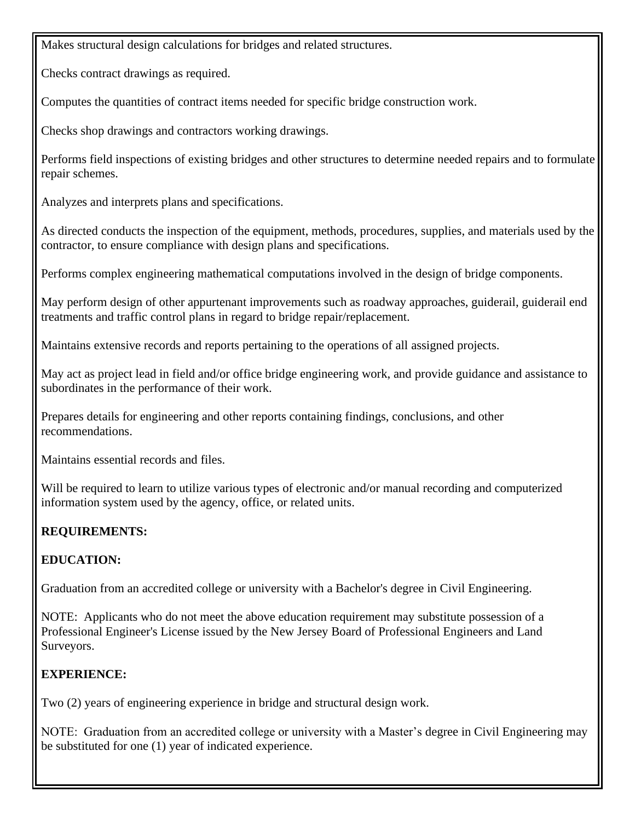Makes structural design calculations for bridges and related structures.

Checks contract drawings as required.

Computes the quantities of contract items needed for specific bridge construction work.

Checks shop drawings and contractors working drawings.

Performs field inspections of existing bridges and other structures to determine needed repairs and to formulate repair schemes.

Analyzes and interprets plans and specifications.

As directed conducts the inspection of the equipment, methods, procedures, supplies, and materials used by the contractor, to ensure compliance with design plans and specifications.

Performs complex engineering mathematical computations involved in the design of bridge components.

May perform design of other appurtenant improvements such as roadway approaches, guiderail, guiderail end treatments and traffic control plans in regard to bridge repair/replacement.

Maintains extensive records and reports pertaining to the operations of all assigned projects.

May act as project lead in field and/or office bridge engineering work, and provide guidance and assistance to subordinates in the performance of their work.

Prepares details for engineering and other reports containing findings, conclusions, and other recommendations.

Maintains essential records and files.

Will be required to learn to utilize various types of electronic and/or manual recording and computerized information system used by the agency, office, or related units.

## **REQUIREMENTS:**

## **EDUCATION:**

Graduation from an accredited college or university with a Bachelor's degree in Civil Engineering.

NOTE: Applicants who do not meet the above education requirement may substitute possession of a Professional Engineer's License issued by the New Jersey Board of Professional Engineers and Land Surveyors.

## **EXPERIENCE:**

Two (2) years of engineering experience in bridge and structural design work.

NOTE: Graduation from an accredited college or university with a Master's degree in Civil Engineering may be substituted for one (1) year of indicated experience.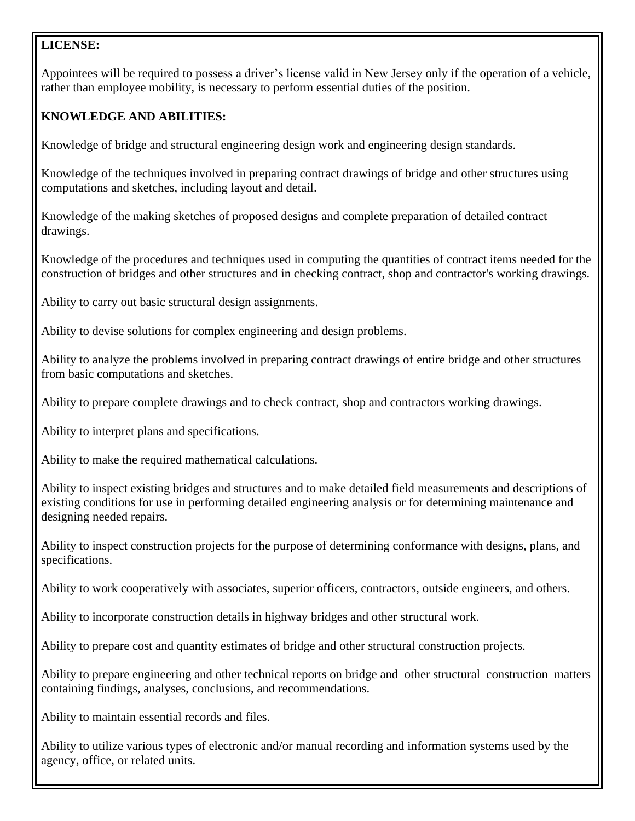#### **LICENSE:**

Appointees will be required to possess a driver's license valid in New Jersey only if the operation of a vehicle, rather than employee mobility, is necessary to perform essential duties of the position.

## **KNOWLEDGE AND ABILITIES:**

Knowledge of bridge and structural engineering design work and engineering design standards.

Knowledge of the techniques involved in preparing contract drawings of bridge and other structures using computations and sketches, including layout and detail.

Knowledge of the making sketches of proposed designs and complete preparation of detailed contract drawings.

Knowledge of the procedures and techniques used in computing the quantities of contract items needed for the construction of bridges and other structures and in checking contract, shop and contractor's working drawings.

Ability to carry out basic structural design assignments.

Ability to devise solutions for complex engineering and design problems.

Ability to analyze the problems involved in preparing contract drawings of entire bridge and other structures from basic computations and sketches.

Ability to prepare complete drawings and to check contract, shop and contractors working drawings.

Ability to interpret plans and specifications.

Ability to make the required mathematical calculations.

Ability to inspect existing bridges and structures and to make detailed field measurements and descriptions of existing conditions for use in performing detailed engineering analysis or for determining maintenance and designing needed repairs.

Ability to inspect construction projects for the purpose of determining conformance with designs, plans, and specifications.

Ability to work cooperatively with associates, superior officers, contractors, outside engineers, and others.

Ability to incorporate construction details in highway bridges and other structural work.

Ability to prepare cost and quantity estimates of bridge and other structural construction projects.

Ability to prepare engineering and other technical reports on bridge and other structural construction matters containing findings, analyses, conclusions, and recommendations.

Ability to maintain essential records and files.

Ability to utilize various types of electronic and/or manual recording and information systems used by the agency, office, or related units.